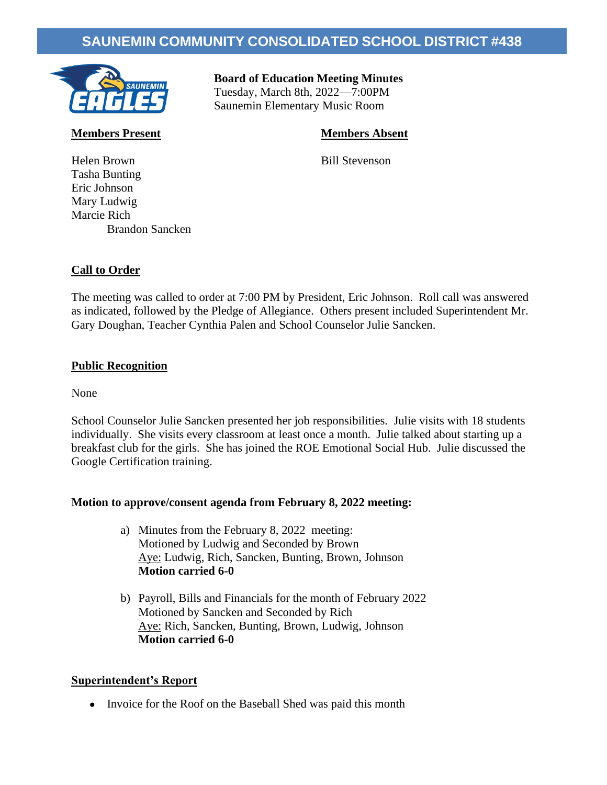# **SAUNEMIN COMMUNITY CONSOLIDATED SCHOOL DISTRICT #438**



 **Board of Education Meeting Minutes** Tuesday, March 8th, 2022—7:00PM Saunemin Elementary Music Room

# **Members Present Members Absent**

Helen Brown Bill Stevenson Tasha Bunting Eric Johnson Mary Ludwig Marcie Rich Brandon Sancken

# **Call to Order**

The meeting was called to order at 7:00 PM by President, Eric Johnson. Roll call was answered as indicated, followed by the Pledge of Allegiance. Others present included Superintendent Mr. Gary Doughan, Teacher Cynthia Palen and School Counselor Julie Sancken.

### **Public Recognition**

None

School Counselor Julie Sancken presented her job responsibilities. Julie visits with 18 students individually. She visits every classroom at least once a month. Julie talked about starting up a breakfast club for the girls. She has joined the ROE Emotional Social Hub. Julie discussed the Google Certification training.

### **Motion to approve/consent agenda from February 8, 2022 meeting:**

- a) Minutes from the February 8, 2022 meeting: Motioned by Ludwig and Seconded by Brown Aye: Ludwig, Rich, Sancken, Bunting, Brown, Johnson **Motion carried 6-0**
- b) Payroll, Bills and Financials for the month of February 2022 Motioned by Sancken and Seconded by Rich Aye: Rich, Sancken, Bunting, Brown, Ludwig, Johnson **Motion carried 6-0**

### **Superintendent's Report**

• Invoice for the Roof on the Baseball Shed was paid this month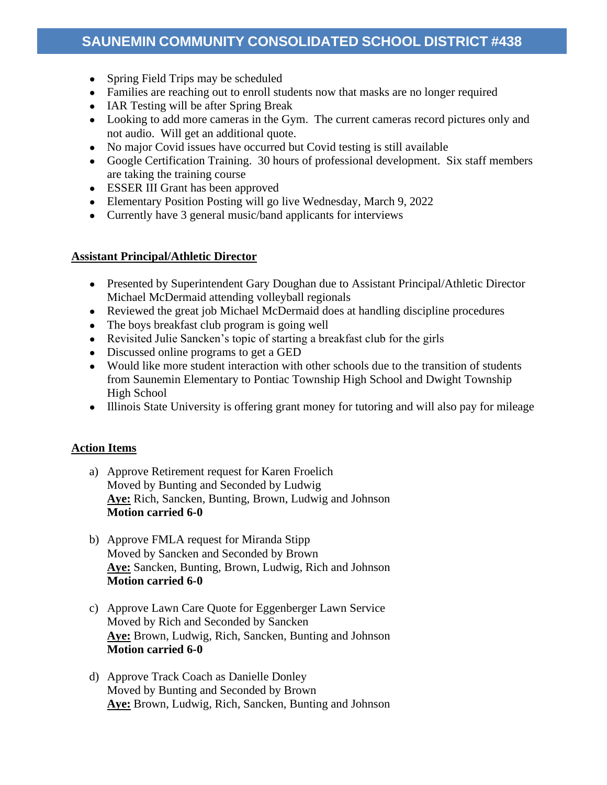- Spring Field Trips may be scheduled
- Families are reaching out to enroll students now that masks are no longer required
- IAR Testing will be after Spring Break
- Looking to add more cameras in the Gym. The current cameras record pictures only and not audio. Will get an additional quote.
- No major Covid issues have occurred but Covid testing is still available
- Google Certification Training. 30 hours of professional development. Six staff members are taking the training course
- ESSER III Grant has been approved
- Elementary Position Posting will go live Wednesday, March 9, 2022
- Currently have 3 general music/band applicants for interviews

## **Assistant Principal/Athletic Director**

- Presented by Superintendent Gary Doughan due to Assistant Principal/Athletic Director Michael McDermaid attending volleyball regionals
- Reviewed the great job Michael McDermaid does at handling discipline procedures
- The boys breakfast club program is going well
- Revisited Julie Sancken's topic of starting a breakfast club for the girls
- Discussed online programs to get a GED
- Would like more student interaction with other schools due to the transition of students from Saunemin Elementary to Pontiac Township High School and Dwight Township High School
- Illinois State University is offering grant money for tutoring and will also pay for mileage

### **Action Items**

- a) Approve Retirement request for Karen Froelich Moved by Bunting and Seconded by Ludwig **Aye:** Rich, Sancken, Bunting, Brown, Ludwig and Johnson **Motion carried 6-0**
- b) Approve FMLA request for Miranda Stipp Moved by Sancken and Seconded by Brown **Aye:** Sancken, Bunting, Brown, Ludwig, Rich and Johnson **Motion carried 6-0**
- c) Approve Lawn Care Quote for Eggenberger Lawn Service Moved by Rich and Seconded by Sancken **Aye:** Brown, Ludwig, Rich, Sancken, Bunting and Johnson **Motion carried 6-0**
- d) Approve Track Coach as Danielle Donley Moved by Bunting and Seconded by Brown **Aye:** Brown, Ludwig, Rich, Sancken, Bunting and Johnson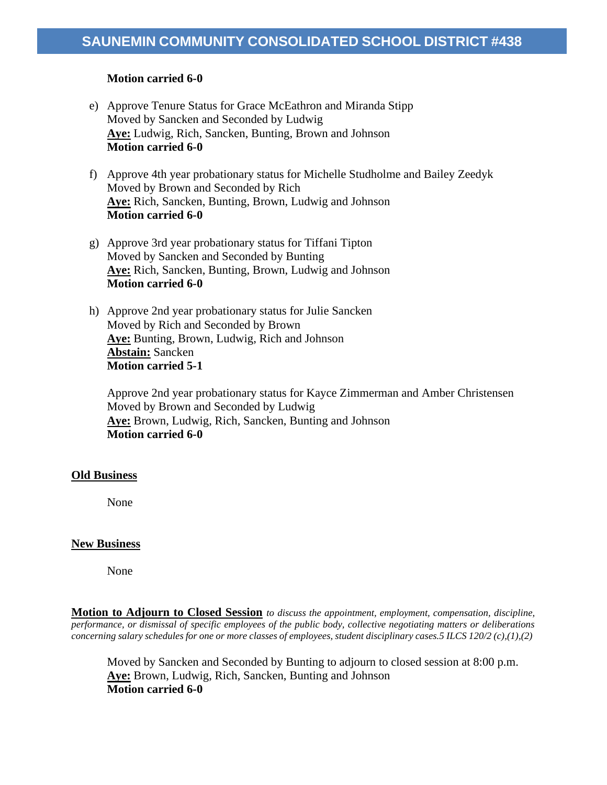### **Motion carried 6-0**

- e) Approve Tenure Status for Grace McEathron and Miranda Stipp Moved by Sancken and Seconded by Ludwig **Aye:** Ludwig, Rich, Sancken, Bunting, Brown and Johnson **Motion carried 6-0**
- f) Approve 4th year probationary status for Michelle Studholme and Bailey Zeedyk Moved by Brown and Seconded by Rich **Aye:** Rich, Sancken, Bunting, Brown, Ludwig and Johnson **Motion carried 6-0**
- g) Approve 3rd year probationary status for Tiffani Tipton Moved by Sancken and Seconded by Bunting **Aye:** Rich, Sancken, Bunting, Brown, Ludwig and Johnson **Motion carried 6-0**
- h) Approve 2nd year probationary status for Julie Sancken Moved by Rich and Seconded by Brown **Aye:** Bunting, Brown, Ludwig, Rich and Johnson **Abstain:** Sancken **Motion carried 5-1**

Approve 2nd year probationary status for Kayce Zimmerman and Amber Christensen Moved by Brown and Seconded by Ludwig **Aye:** Brown, Ludwig, Rich, Sancken, Bunting and Johnson **Motion carried 6-0**

### **Old Business**

None

### **New Business**

None

**Motion to Adjourn to Closed Session** *to discuss the appointment, employment, compensation, discipline, performance, or dismissal of specific employees of the public body, collective negotiating matters or deliberations concerning salary schedules for one or more classes of employees, student disciplinary cases.5 ILCS 120/2 (c),(1),(2)*

Moved by Sancken and Seconded by Bunting to adjourn to closed session at 8:00 p.m. **Aye:** Brown, Ludwig, Rich, Sancken, Bunting and Johnson **Motion carried 6-0**